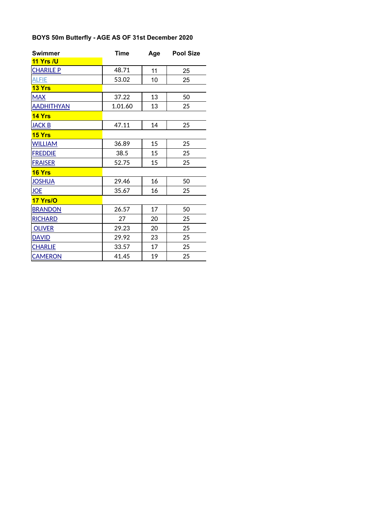# **BOYS 50m Butterfly - AGE AS OF 31st December 2020**

| <b>Swimmer</b>    | <b>Time</b> | Age | <b>Pool Size</b> |
|-------------------|-------------|-----|------------------|
| 11 Yrs /U         |             |     |                  |
| <b>CHARILE P</b>  | 48.71       | 11  | 25               |
| <b>ALFIE</b>      | 53.02       | 10  | 25               |
| 13 Yrs            |             |     |                  |
| <b>MAX</b>        | 37.22       | 13  | 50               |
| <b>AADHITHYAN</b> | 1.01.60     | 13  | 25               |
| 14 Yrs            |             |     |                  |
| <b>JACK B</b>     | 47.11       | 14  | 25               |
| <b>15 Yrs</b>     |             |     |                  |
| <b>WILLIAM</b>    | 36.89       | 15  | 25               |
| <b>FREDDIE</b>    | 38.5        | 15  | 25               |
| <b>FRAISER</b>    | 52.75       | 15  | 25               |
| 16 Yrs            |             |     |                  |
| <b>JOSHUA</b>     | 29.46       | 16  | 50               |
| <b>JOE</b>        | 35.67       | 16  | 25               |
| 17 Yrs/O          |             |     |                  |
| <b>BRANDON</b>    | 26.57       | 17  | 50               |
| <b>RICHARD</b>    | 27          | 20  | 25               |
| <b>OLIVER</b>     | 29.23       | 20  | 25               |
| <b>DAVID</b>      | 29.92       | 23  | 25               |
| <b>CHARLIE</b>    | 33.57       | 17  | 25               |
| <b>CAMERON</b>    | 41.45       | 19  | 25               |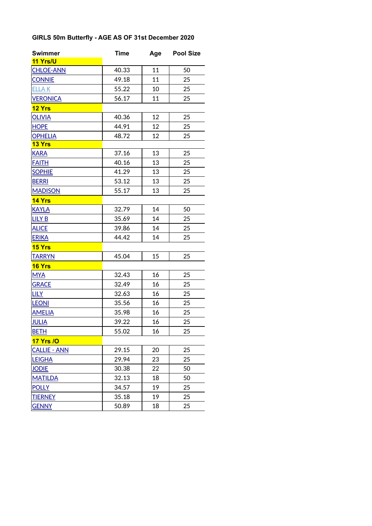# **GIRLS 50m Butterfly - AGE AS OF 31st December 2020**

| <b>Swimmer</b>      | <b>Time</b> | Age | <b>Pool Size</b> |
|---------------------|-------------|-----|------------------|
| 11 Yrs/U            |             |     |                  |
| <b>CHLOE-ANN</b>    | 40.33       | 11  | 50               |
| <b>CONNIE</b>       | 49.18       | 11  | 25               |
| <b>ELLAK</b>        | 55.22       | 10  | 25               |
| <b>VERONICA</b>     | 56.17       | 11  | 25               |
| 12 Yrs              |             |     |                  |
| <b>OLIVIA</b>       | 40.36       | 12  | 25               |
| <b>HOPE</b>         | 44.91       | 12  | 25               |
| <b>OPHELIA</b>      | 48.72       | 12  | 25               |
| <b>13 Yrs</b>       |             |     |                  |
| <b>KARA</b>         | 37.16       | 13  | 25               |
| <b>FAITH</b>        | 40.16       | 13  | 25               |
| <b>SOPHIE</b>       | 41.29       | 13  | 25               |
| <b>BERRI</b>        | 53.12       | 13  | 25               |
| <b>MADISON</b>      | 55.17       | 13  | 25               |
| 14 Yrs              |             |     |                  |
| <b>KAYLA</b>        | 32.79       | 14  | 50               |
| <b>LILY B</b>       | 35.69       | 14  | 25               |
| <b>ALICE</b>        | 39.86       | 14  | 25               |
| <b>ERIKA</b>        | 44.42       | 14  | 25               |
| 15 Yrs              |             |     |                  |
| <b>TARRYN</b>       | 45.04       | 15  | 25               |
| 16 Yrs              |             |     |                  |
| <b>MYA</b>          | 32.43       | 16  | 25               |
| <b>GRACE</b>        | 32.49       | 16  | 25               |
| <b>LILY</b>         | 32.63       | 16  | 25               |
| <b>LEONI</b>        | 35.56       | 16  | 25               |
| <b>AMELIA</b>       | 35.98       | 16  | 25               |
| <b>JULIA</b>        | 39.22       | 16  | 25               |
| <b>BETH</b>         | 55.02       | 16  | 25               |
| <b>17 Yrs /O</b>    |             |     |                  |
| <b>CALLIE - ANN</b> | 29.15       | 20  | 25               |
| <b>LEIGHA</b>       | 29.94       | 23  | 25               |
| <b>JODIE</b>        | 30.38       | 22  | 50               |
| <b>MATILDA</b>      | 32.13       | 18  | 50               |
| <b>POLLY</b>        | 34.57       | 19  | 25               |
| <b>TIERNEY</b>      | 35.18       | 19  | 25               |
| <b>GENNY</b>        | 50.89       | 18  | 25               |
|                     |             |     |                  |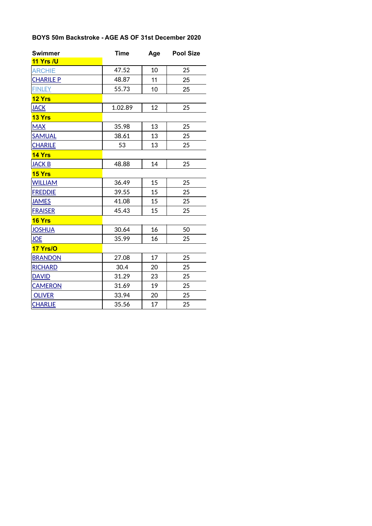## **BOYS 50m Backstroke - AGE AS OF 31st December 2020**

| <b>Swimmer</b>   | <b>Time</b> | Age | <b>Pool Size</b> |
|------------------|-------------|-----|------------------|
| 11 Yrs /U        |             |     |                  |
| <b>ARCHIE</b>    | 47.52       | 10  | 25               |
| <b>CHARILE P</b> | 48.87       | 11  | 25               |
| <b>FINLEY</b>    | 55.73       | 10  | 25               |
| 12 Yrs           |             |     |                  |
| <b>JACK</b>      | 1.02.89     | 12  | 25               |
| 13 Yrs           |             |     |                  |
| <b>MAX</b>       | 35.98       | 13  | 25               |
| <b>SAMUAL</b>    | 38.61       | 13  | 25               |
| <b>CHARILE</b>   | 53          | 13  | 25               |
| 14 Yrs           |             |     |                  |
| <b>JACK B</b>    | 48.88       | 14  | 25               |
| <b>15 Yrs</b>    |             |     |                  |
| <b>WILLIAM</b>   | 36.49       | 15  | 25               |
| <b>FREDDIE</b>   | 39.55       | 15  | 25               |
| <b>JAMES</b>     | 41.08       | 15  | 25               |
| <b>FRAISER</b>   | 45.43       | 15  | 25               |
| 16 Yrs           |             |     |                  |
| <b>JOSHUA</b>    | 30.64       | 16  | 50               |
| <b>JOE</b>       | 35.99       | 16  | 25               |
| 17 Yrs/O         |             |     |                  |
| <b>BRANDON</b>   | 27.08       | 17  | 25               |
| <b>RICHARD</b>   | 30.4        | 20  | 25               |
| <b>DAVID</b>     | 31.29       | 23  | 25               |
| <b>CAMERON</b>   | 31.69       | 19  | 25               |
| <b>OLIVER</b>    | 33.94       | 20  | 25               |
| <b>CHARLIE</b>   | 35.56       | 17  | 25               |
|                  |             |     |                  |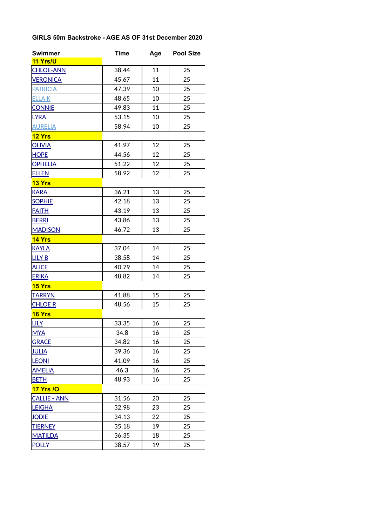## **GIRLS 50m Backstroke - AGE AS OF 31st December 2020**

| <b>Swimmer</b>      | <b>Time</b> | Age | <b>Pool Size</b> |
|---------------------|-------------|-----|------------------|
| 11 Yrs/U            |             |     |                  |
| <b>CHLOE-ANN</b>    | 38.44       | 11  | 25               |
| <b>VERONICA</b>     | 45.67       | 11  | 25               |
| <b>PATRICIA</b>     | 47.39       | 10  | 25               |
| <b>ELLAK</b>        | 48.65       | 10  | 25               |
| <b>CONNIE</b>       | 49.83       | 11  | 25               |
| <b>LYRA</b>         | 53.15       | 10  | 25               |
| <b>AURELIA</b>      | 58.94       | 10  | 25               |
| 12 Yrs              |             |     |                  |
| <b>OLIVIA</b>       | 41.97       | 12  | 25               |
| <b>HOPE</b>         | 44.56       | 12  | 25               |
| <b>OPHELIA</b>      | 51.22       | 12  | 25               |
| <b>ELLEN</b>        | 58.92       | 12  | 25               |
| 13 Yrs              |             |     |                  |
| <b>KARA</b>         | 36.21       | 13  | 25               |
| <b>SOPHIE</b>       | 42.18       | 13  | 25               |
| <b>FAITH</b>        | 43.19       | 13  | 25               |
| <b>BERRI</b>        | 43.86       | 13  | 25               |
| <b>MADISON</b>      | 46.72       | 13  | 25               |
| 14 Yrs              |             |     |                  |
| <b>KAYLA</b>        | 37.04       | 14  | 25               |
| <b>LILY B</b>       | 38.58       | 14  | 25               |
| <b>ALICE</b>        | 40.79       | 14  | 25               |
| <b>ERIKA</b>        | 48.82       | 14  | 25               |
| 15 Yrs              |             |     |                  |
| <b>TARRYN</b>       | 41.88       | 15  | 25               |
| <b>CHLOE R</b>      | 48.56       | 15  | 25               |
| <b>16 Yrs</b>       |             |     |                  |
| <b>LILY</b>         | 33.35       | 16  | 25               |
| <b>MYA</b>          | 34.8        | 16  | 25               |
| <b>GRACE</b>        | 34.82       | 16  | 25               |
| <b>JULIA</b>        | 39.36       | 16  | 25               |
| <b>LEONI</b>        | 41.09       | 16  | 25               |
| <b>AMELIA</b>       | 46.3        | 16  | 25               |
| <b>BETH</b>         | 48.93       | 16  | 25               |
| <b>17 Yrs /O</b>    |             |     |                  |
| <b>CALLIE - ANN</b> | 31.56       | 20  | 25               |
| <b>LEIGHA</b>       | 32.98       | 23  | 25               |
| <b>JODIE</b>        | 34.13       | 22  | 25               |
| <b>TIERNEY</b>      | 35.18       | 19  | 25               |
| <b>MATILDA</b>      | 36.35       | 18  | 25               |
| <b>POLLY</b>        | 38.57       | 19  | 25               |
|                     |             |     |                  |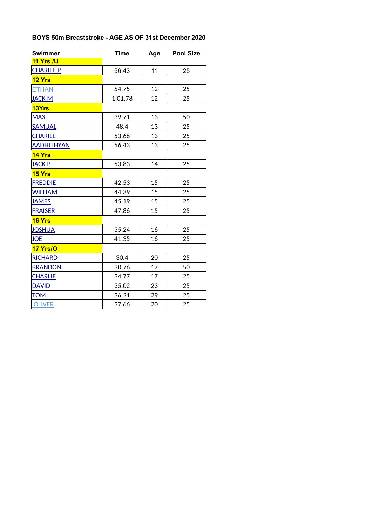## **BOYS 50m Breaststroke - AGE AS OF 31st December 2020**

| <b>Swimmer</b>    | <b>Time</b> | Age | <b>Pool Size</b> |
|-------------------|-------------|-----|------------------|
| 11 Yrs /U         |             |     |                  |
| <b>CHARILE P</b>  | 56.43       | 11  | 25               |
| 12 Yrs            |             |     |                  |
| <b>ETHAN</b>      | 54.75       | 12  | 25               |
| <b>JACK M</b>     | 1.01.78     | 12  | 25               |
| 13Yrs             |             |     |                  |
| <b>MAX</b>        | 39.71       | 13  | 50               |
| <b>SAMUAL</b>     | 48.4        | 13  | 25               |
| <b>CHARILE</b>    | 53.68       | 13  | 25               |
| <b>AADHITHYAN</b> | 56.43       | 13  | 25               |
| 14 Yrs            |             |     |                  |
| <b>JACK B</b>     | 53.83       | 14  | 25               |
| 15 Yrs            |             |     |                  |
| <b>FREDDIE</b>    | 42.53       | 15  | 25               |
| <b>WILLIAM</b>    | 44.39       | 15  | 25               |
| <b>JAMES</b>      | 45.19       | 15  | 25               |
| <b>FRAISER</b>    | 47.86       | 15  | 25               |
| 16 Yrs            |             |     |                  |
| <b>JOSHUA</b>     | 35.24       | 16  | 25               |
| <b>JOE</b>        | 41.35       | 16  | 25               |
| 17 Yrs/O          |             |     |                  |
| <b>RICHARD</b>    | 30.4        | 20  | 25               |
| <b>BRANDON</b>    | 30.76       | 17  | 50               |
| <b>CHARLIE</b>    | 34.77       | 17  | 25               |
| <b>DAVID</b>      | 35.02       | 23  | 25               |
| <u>TOM</u>        | 36.21       | 29  | 25               |
| <b>OLIVER</b>     | 37.66       | 20  | 25               |
|                   |             |     |                  |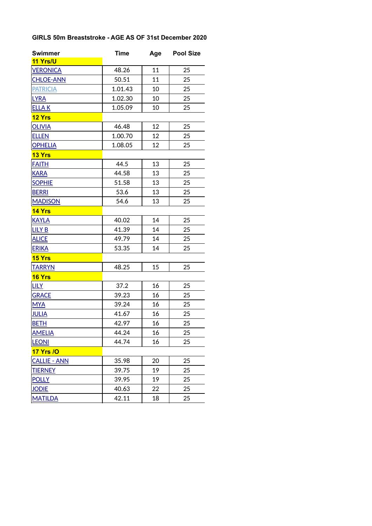## **GIRLS 50m Breaststroke - AGE AS OF 31st December 2020**

| <b>Swimmer</b>      | <b>Time</b> | Age | <b>Pool Size</b> |
|---------------------|-------------|-----|------------------|
| 11 Yrs/U            |             |     |                  |
| <b>VERONICA</b>     | 48.26       | 11  | 25               |
| <b>CHLOE-ANN</b>    | 50.51       | 11  | 25               |
| <b>PATRICIA</b>     | 1.01.43     | 10  | 25               |
| <b>LYRA</b>         | 1.02.30     | 10  | 25               |
| <b>ELLAK</b>        | 1.05.09     | 10  | 25               |
| 12 Yrs              |             |     |                  |
| <b>OLIVIA</b>       | 46.48       | 12  | 25               |
| <b>ELLEN</b>        | 1.00.70     | 12  | 25               |
| <b>OPHELIA</b>      | 1.08.05     | 12  | 25               |
| 13 Yrs              |             |     |                  |
| <b>FAITH</b>        | 44.5        | 13  | 25               |
| <b>KARA</b>         | 44.58       | 13  | 25               |
| <b>SOPHIE</b>       | 51.58       | 13  | 25               |
| <b>BERRI</b>        | 53.6        | 13  | 25               |
| <b>MADISON</b>      | 54.6        | 13  | 25               |
| 14 Yrs              |             |     |                  |
| <b>KAYLA</b>        | 40.02       | 14  | 25               |
| <b>LILY B</b>       | 41.39       | 14  | 25               |
| <b>ALICE</b>        | 49.79       | 14  | 25               |
| <b>ERIKA</b>        | 53.35       | 14  | 25               |
| 15 Yrs              |             |     |                  |
| <b>TARRYN</b>       | 48.25       | 15  | 25               |
| 16 Yrs              |             |     |                  |
| <b>LILY</b>         | 37.2        | 16  | 25               |
| <b>GRACE</b>        | 39.23       | 16  | 25               |
| <b>MYA</b>          | 39.24       | 16  | 25               |
| <b>JULIA</b>        | 41.67       | 16  | 25               |
| <b>BETH</b>         | 42.97       | 16  | 25               |
| <b>AMELIA</b>       | 44.24       | 16  | 25               |
| <b>LEONI</b>        | 44.74       | 16  | 25               |
| <b>17 Yrs /O</b>    |             |     |                  |
| <b>CALLIE - ANN</b> | 35.98       | 20  | 25               |
| <b>TIERNEY</b>      | 39.75       | 19  | 25               |
| <b>POLLY</b>        | 39.95       | 19  | 25               |
| <b>JODIE</b>        | 40.63       | 22  | 25               |
| <b>MATILDA</b>      | 42.11       | 18  | 25               |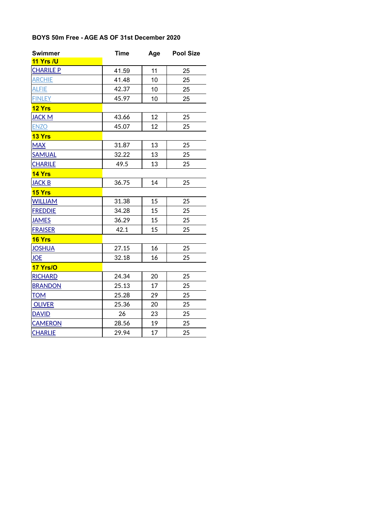#### **BOYS 50m Free - AGE AS OF 31st December 2020**

| <b>Swimmer</b>   | <b>Time</b> | Age | <b>Pool Size</b> |
|------------------|-------------|-----|------------------|
| 11 Yrs /U        |             |     |                  |
| <b>CHARILE P</b> | 41.59       | 11  | 25               |
| <b>ARCHIE</b>    | 41.48       | 10  | 25               |
| <b>ALFIE</b>     | 42.37       | 10  | 25               |
| <b>FINLEY</b>    | 45.97       | 10  | 25               |
| 12 Yrs           |             |     |                  |
| <b>JACK M</b>    | 43.66       | 12  | 25               |
| <b>ENZO</b>      | 45.07       | 12  | 25               |
| 13 Yrs           |             |     |                  |
| <b>MAX</b>       | 31.87       | 13  | 25               |
| <b>SAMUAL</b>    | 32.22       | 13  | 25               |
| <b>CHARILE</b>   | 49.5        | 13  | 25               |
| 14 Yrs           |             |     |                  |
| <b>JACK B</b>    | 36.75       | 14  | 25               |
| 15 Yrs           |             |     |                  |
| <b>WILLIAM</b>   | 31.38       | 15  | 25               |
| <b>FREDDIE</b>   | 34.28       | 15  | 25               |
| <b>JAMES</b>     | 36.29       | 15  | 25               |
| <b>FRAISER</b>   | 42.1        | 15  | 25               |
| 16 Yrs           |             |     |                  |
| <b>JOSHUA</b>    | 27.15       | 16  | 25               |
| <b>JOE</b>       | 32.18       | 16  | 25               |
| 17 Yrs/O         |             |     |                  |
| <b>RICHARD</b>   | 24.34       | 20  | 25               |
| <b>BRANDON</b>   | 25.13       | 17  | 25               |
| <b>TOM</b>       | 25.28       | 29  | 25               |
| <b>OLIVER</b>    | 25.36       | 20  | 25               |
| <b>DAVID</b>     | 26          | 23  | 25               |
| <b>CAMERON</b>   | 28.56       | 19  | 25               |
| <b>CHARLIE</b>   | 29.94       | 17  | 25               |